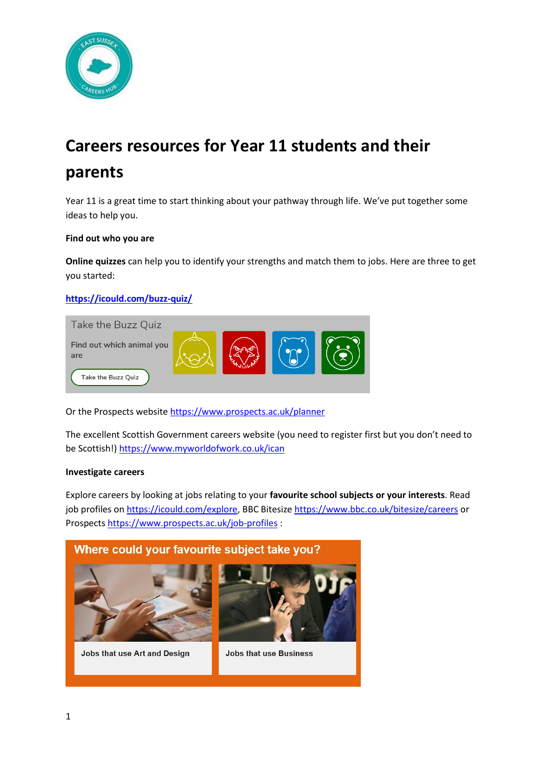

# **Careers resources for Year 11 students and their parents**

Year 11 is a great time to start thinking about your pathway through life. We've put together some ideas to help you.

#### **Find out who you are**

**Online quizzes** can help you to identify your strengths and match them to jobs. Here are three to get you started:

**<https://icould.com/buzz-quiz/>**



Or the Prospects websit[e https://www.prospects.ac.uk/planner](https://www.prospects.ac.uk/planner)

The excellent Scottish Government careers website (you need to register first but you don't need to be Scottish![\) https://www.myworldofwork.co.uk/ican](https://www.myworldofwork.co.uk/ican)

#### **Investigate careers**

Explore careers by looking at jobs relating to your **favourite school subjects or your interests**. Read job profiles on [https://icould.com/explore,](https://icould.com/explore) BBC Bitesize<https://www.bbc.co.uk/bitesize/careers> or Prospects<https://www.prospects.ac.uk/job-profiles> :

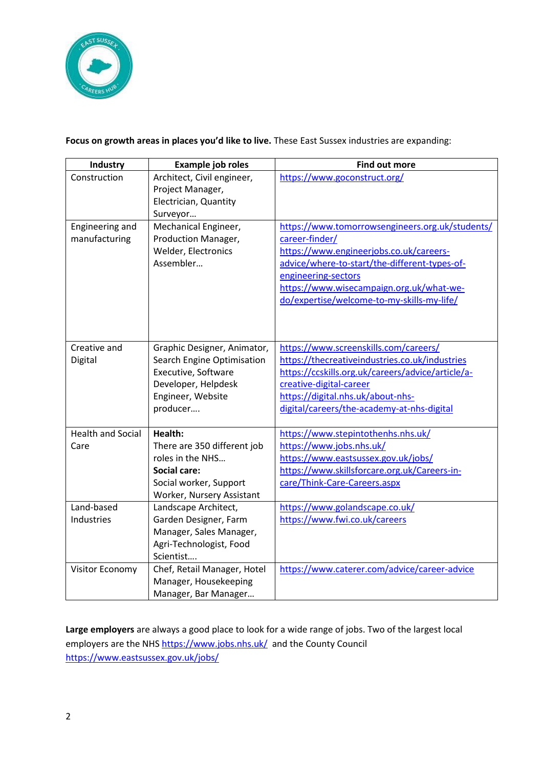

# **Focus on growth areas in places you'd like to live.** These East Sussex industries are expanding:

| <b>Industry</b>          | Example job roles                                 | <b>Find out more</b>                              |
|--------------------------|---------------------------------------------------|---------------------------------------------------|
| Construction             | Architect, Civil engineer,                        | https://www.goconstruct.org/                      |
|                          | Project Manager,                                  |                                                   |
|                          | Electrician, Quantity                             |                                                   |
|                          | Surveyor                                          |                                                   |
| Engineering and          | Mechanical Engineer,                              | https://www.tomorrowsengineers.org.uk/students/   |
| manufacturing            | Production Manager,                               | career-finder/                                    |
|                          | Welder, Electronics                               | https://www.engineerjobs.co.uk/careers-           |
|                          | Assembler                                         | advice/where-to-start/the-different-types-of-     |
|                          |                                                   | engineering-sectors                               |
|                          |                                                   | https://www.wisecampaign.org.uk/what-we-          |
|                          |                                                   | do/expertise/welcome-to-my-skills-my-life/        |
|                          |                                                   |                                                   |
|                          |                                                   |                                                   |
| Creative and             |                                                   | https://www.screenskills.com/careers/             |
|                          | Graphic Designer, Animator,                       | https://thecreativeindustries.co.uk/industries    |
| Digital                  | Search Engine Optimisation<br>Executive, Software | https://ccskills.org.uk/careers/advice/article/a- |
|                          | Developer, Helpdesk                               | creative-digital-career                           |
|                          | Engineer, Website                                 | https://digital.nhs.uk/about-nhs-                 |
|                          | producer                                          | digital/careers/the-academy-at-nhs-digital        |
|                          |                                                   |                                                   |
| <b>Health and Social</b> | Health:                                           | https://www.stepintothenhs.nhs.uk/                |
| Care                     | There are 350 different job                       | https://www.jobs.nhs.uk/                          |
|                          | roles in the NHS                                  | https://www.eastsussex.gov.uk/jobs/               |
|                          | <b>Social care:</b>                               | https://www.skillsforcare.org.uk/Careers-in-      |
|                          | Social worker, Support                            | care/Think-Care-Careers.aspx                      |
|                          | Worker, Nursery Assistant                         |                                                   |
| Land-based               | Landscape Architect,                              | https://www.golandscape.co.uk/                    |
| Industries               | Garden Designer, Farm                             | https://www.fwi.co.uk/careers                     |
|                          | Manager, Sales Manager,                           |                                                   |
|                          | Agri-Technologist, Food                           |                                                   |
|                          | Scientist                                         |                                                   |
| Visitor Economy          | Chef, Retail Manager, Hotel                       | https://www.caterer.com/advice/career-advice      |
|                          | Manager, Housekeeping                             |                                                   |
|                          | Manager, Bar Manager                              |                                                   |

**Large employers** are always a good place to look for a wide range of jobs. Two of the largest local employers are the NHS <https://www.jobs.nhs.uk/>and the County Council <https://www.eastsussex.gov.uk/jobs/>